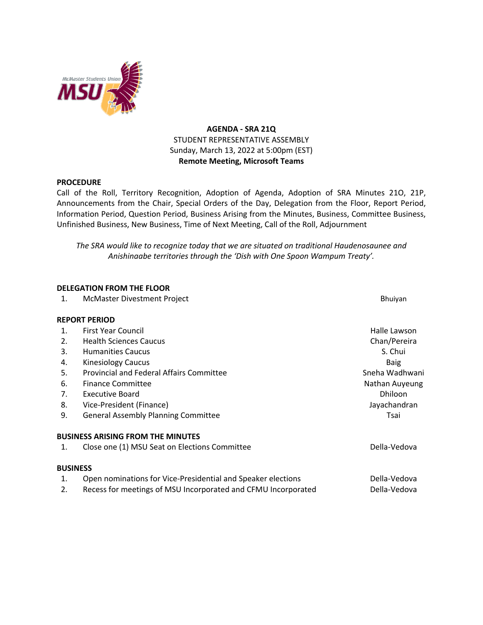

# **AGENDA - SRA 21Q** STUDENT REPRESENTATIVE ASSEMBLY Sunday, March 13, 2022 at 5:00pm (EST) **Remote Meeting, Microsoft Teams**

### **PROCEDURE**

Call of the Roll, Territory Recognition, Adoption of Agenda, Adoption of SRA Minutes 21O, 21P, Announcements from the Chair, Special Orders of the Day, Delegation from the Floor, Report Period, Information Period, Question Period, Business Arising from the Minutes, Business, Committee Business, Unfinished Business, New Business, Time of Next Meeting, Call of the Roll, Adjournment

*The SRA would like to recognize today that we are situated on traditional Haudenosaunee and Anishinaabe territories through the 'Dish with One Spoon Wampum Treaty'.*

### **DELEGATION FROM THE FLOOR**

1. McMaster Divestment Project **Brune and School School and School School** Bhuiyan

#### **REPORT PERIOD**

| 1.              | First Year Council                                            | Halle Lawson   |
|-----------------|---------------------------------------------------------------|----------------|
| 2.              | <b>Health Sciences Caucus</b>                                 | Chan/Pereira   |
| 3.              | <b>Humanities Caucus</b>                                      | S. Chui        |
| 4.              | <b>Kinesiology Caucus</b>                                     | <b>Baig</b>    |
| 5.              | <b>Provincial and Federal Affairs Committee</b>               | Sneha Wadhwani |
| 6.              | <b>Finance Committee</b>                                      | Nathan Auyeung |
| 7.              | Executive Board                                               | <b>Dhiloon</b> |
| 8.              | Vice-President (Finance)                                      | Jayachandran   |
| 9.              | <b>General Assembly Planning Committee</b>                    | Tsai           |
|                 | <b>BUSINESS ARISING FROM THE MINUTES</b>                      |                |
| 1.              | Close one (1) MSU Seat on Elections Committee                 | Della-Vedova   |
| <b>BUSINESS</b> |                                                               |                |
| 1.              | Open nominations for Vice-Presidential and Speaker elections  | Della-Vedova   |
| 2.              | Recess for meetings of MSU Incorporated and CFMU Incorporated | Della-Vedova   |